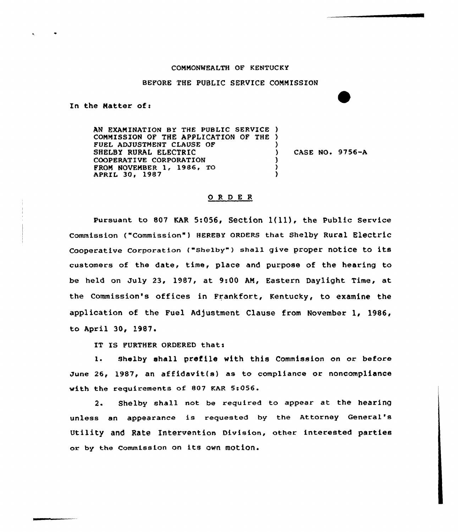## COMMONWEALTH OF KENTUCKY

## BEFORE THE PUBLIC SERVICE COMMISSION

In the Matter of:

AN EXAMINATION BY THE PUBLIC SERVICE ) COMMISSION OF THE APPLICATION OF THE ) FUEL ADJUSTMENT CLAUSE OF SHELBY RURAL ELECTRIC COOPERATIVE CORPORATION FROM NOVEMBER 1, 1986, TO APRIL 3Q, 1987 ) CASE NO. 9756-A ) ) )

## 0 <sup>R</sup> <sup>D</sup> <sup>E</sup> <sup>R</sup>

Pursuant to 807 KAR 5:056, Section 1(11), the Public Service Commission ("Commission" ) HEREBY ORDERS that Shelby Rural Electric Cooperative Corporation ("Shelby") shall give proper notice to its customers of the date, time, place and purpose of the hearing to be held on July 23, 1987, at 9:00 AN, Eastern Daylight Time, at the Commission's offices in Frankfort, Kentucky, to examine the application of the Fuel Adjustment Clause from November 1, 1986, to April 30, 1987.

IT IS FURTHER ORDERED that:

1. Shelby shall prefile with this Commission on or before June 26, 1987, an affidavit(s) as to compliance or noncompliance with the requirements of S07 KAR 5:056.

2. Shelby shall not be required to appear at the hearing unless an appearance is requested by the Attorney General' Utility and Rate Intervention Division, other interested parties or by the Commission on its own motion.